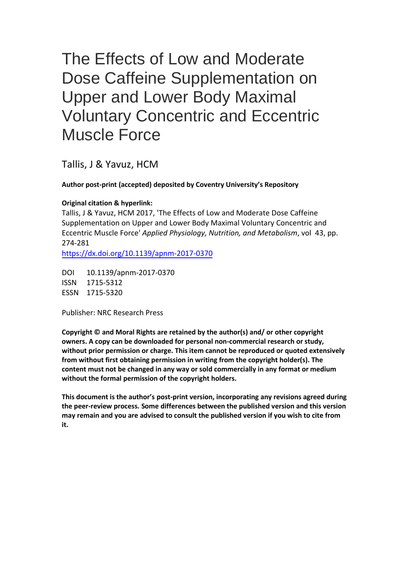The Effects of Low and Moderate Dose Caffeine Supplementation on Upper and Lower Body Maximal Voluntary Concentric and Eccentric Muscle Force

Tallis, J & Yavuz, HCM

**Author post-print (accepted) deposited by Coventry University's Repository**

# **Original citation & hyperlink:**

Tallis, J & Yavuz, HCM 2017, 'The Effects of Low and Moderate Dose Caffeine Supplementation on Upper and Lower Body Maximal Voluntary Concentric and Eccentric Muscle Force' *Applied Physiology, Nutrition, and Metabolism*, vol 43, pp. 274-281 <https://dx.doi.org/10.1139/apnm-2017-0370>

DOI 10.1139/apnm-2017-0370 ISSN 1715-5312 ESSN 1715-5320

Publisher: NRC Research Press

**Copyright © and Moral Rights are retained by the author(s) and/ or other copyright owners. A copy can be downloaded for personal non-commercial research or study, without prior permission or charge. This item cannot be reproduced or quoted extensively from without first obtaining permission in writing from the copyright holder(s). The content must not be changed in any way or sold commercially in any format or medium without the formal permission of the copyright holders.** 

**This document is the author's post-print version, incorporating any revisions agreed during the peer-review process. Some differences between the published version and this version may remain and you are advised to consult the published version if you wish to cite from it.**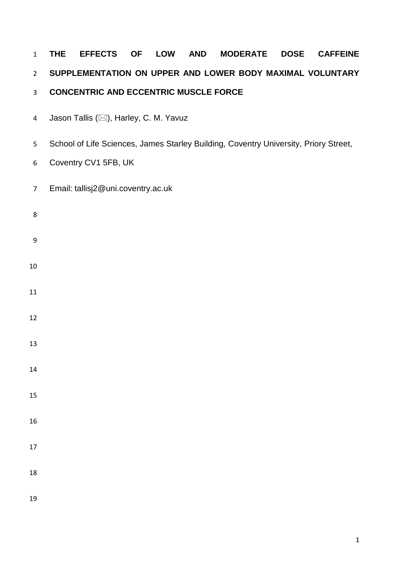# **THE EFFECTS OF LOW AND MODERATE DOSE CAFFEINE SUPPLEMENTATION ON UPPER AND LOWER BODY MAXIMAL VOLUNTARY CONCENTRIC AND ECCENTRIC MUSCLE FORCE** 4 Jason Tallis  $(\boxtimes)$ , Harley, C. M. Yavuz

- School of Life Sciences, James Starley Building, Coventry University, Priory Street,
- Coventry CV1 5FB, UK
- Email: tallisj2@uni.coventry.ac.uk
- 
- 
- 
- 
- 
- 
- 
- 
- 
- 
- 
- 
- 
- 
- 
- 
-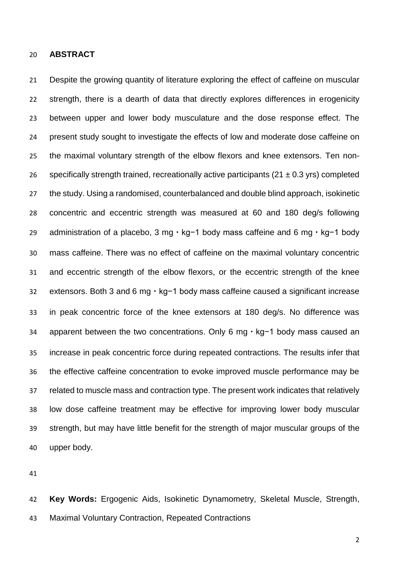#### **ABSTRACT**

 Despite the growing quantity of literature exploring the effect of caffeine on muscular strength, there is a dearth of data that directly explores differences in erogenicity between upper and lower body musculature and the dose response effect. The present study sought to investigate the effects of low and moderate dose caffeine on the maximal voluntary strength of the elbow flexors and knee extensors. Ten non-26 specifically strength trained, recreationally active participants ( $21 \pm 0.3$  yrs) completed the study. Using a randomised, counterbalanced and double blind approach, isokinetic concentric and eccentric strength was measured at 60 and 180 deg/s following administration of a placebo, 3 mg・kg−1 body mass caffeine and 6 mg・kg−1 body mass caffeine. There was no effect of caffeine on the maximal voluntary concentric and eccentric strength of the elbow flexors, or the eccentric strength of the knee extensors. Both 3 and 6 mg・kg−1 body mass caffeine caused a significant increase in peak concentric force of the knee extensors at 180 deg/s. No difference was apparent between the two concentrations. Only 6 mg・kg−1 body mass caused an increase in peak concentric force during repeated contractions. The results infer that the effective caffeine concentration to evoke improved muscle performance may be related to muscle mass and contraction type. The present work indicates that relatively low dose caffeine treatment may be effective for improving lower body muscular strength, but may have little benefit for the strength of major muscular groups of the upper body.

 **Key Words:** Ergogenic Aids, Isokinetic Dynamometry, Skeletal Muscle, Strength, Maximal Voluntary Contraction, Repeated Contractions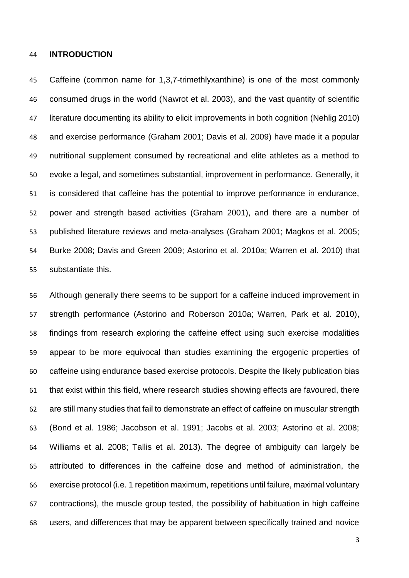#### **INTRODUCTION**

 Caffeine (common name for 1,3,7-trimethlyxanthine) is one of the most commonly consumed drugs in the world (Nawrot et al. 2003), and the vast quantity of scientific literature documenting its ability to elicit improvements in both cognition (Nehlig 2010) and exercise performance (Graham 2001; Davis et al. 2009) have made it a popular nutritional supplement consumed by recreational and elite athletes as a method to evoke a legal, and sometimes substantial, improvement in performance. Generally, it is considered that caffeine has the potential to improve performance in endurance, power and strength based activities (Graham 2001), and there are a number of published literature reviews and meta-analyses (Graham 2001; Magkos et al. 2005; Burke 2008; Davis and Green 2009; Astorino et al. 2010a; Warren et al. 2010) that substantiate this.

 Although generally there seems to be support for a caffeine induced improvement in strength performance (Astorino and Roberson 2010a; Warren, Park et al. 2010), findings from research exploring the caffeine effect using such exercise modalities appear to be more equivocal than studies examining the ergogenic properties of caffeine using endurance based exercise protocols. Despite the likely publication bias that exist within this field, where research studies showing effects are favoured, there are still many studies that fail to demonstrate an effect of caffeine on muscular strength (Bond et al. 1986; Jacobson et al. 1991; Jacobs et al. 2003; Astorino et al. 2008; Williams et al. 2008; Tallis et al. 2013). The degree of ambiguity can largely be attributed to differences in the caffeine dose and method of administration, the exercise protocol (i.e. 1 repetition maximum, repetitions until failure, maximal voluntary contractions), the muscle group tested, the possibility of habituation in high caffeine users, and differences that may be apparent between specifically trained and novice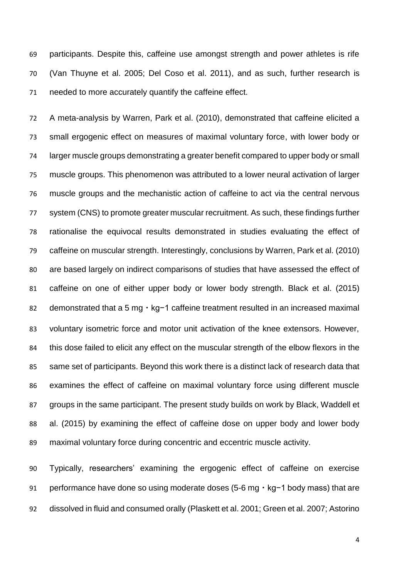participants. Despite this, caffeine use amongst strength and power athletes is rife (Van Thuyne et al. 2005; Del Coso et al. 2011), and as such, further research is needed to more accurately quantify the caffeine effect.

 A meta-analysis by Warren, Park et al. (2010), demonstrated that caffeine elicited a small ergogenic effect on measures of maximal voluntary force, with lower body or larger muscle groups demonstrating a greater benefit compared to upper body or small muscle groups. This phenomenon was attributed to a lower neural activation of larger muscle groups and the mechanistic action of caffeine to act via the central nervous 77 system (CNS) to promote greater muscular recruitment. As such, these findings further rationalise the equivocal results demonstrated in studies evaluating the effect of caffeine on muscular strength. Interestingly, conclusions by Warren, Park et al. (2010) are based largely on indirect comparisons of studies that have assessed the effect of caffeine on one of either upper body or lower body strength. Black et al. (2015) demonstrated that a 5 mg・kg−1 caffeine treatment resulted in an increased maximal voluntary isometric force and motor unit activation of the knee extensors. However, this dose failed to elicit any effect on the muscular strength of the elbow flexors in the same set of participants. Beyond this work there is a distinct lack of research data that examines the effect of caffeine on maximal voluntary force using different muscle groups in the same participant. The present study builds on work by Black, Waddell et al. (2015) by examining the effect of caffeine dose on upper body and lower body maximal voluntary force during concentric and eccentric muscle activity.

 Typically, researchers' examining the ergogenic effect of caffeine on exercise performance have done so using moderate doses (5-6 mg・kg−1 body mass) that are dissolved in fluid and consumed orally (Plaskett et al. 2001; Green et al. 2007; Astorino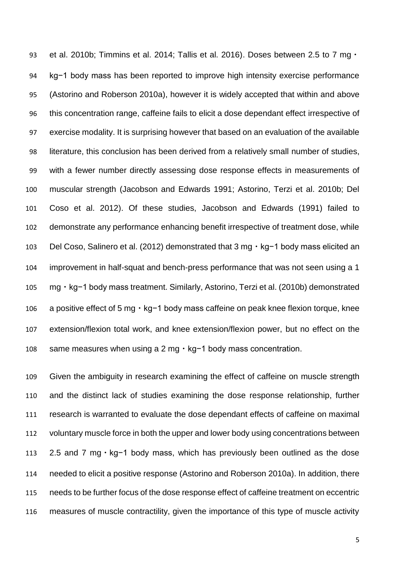93 et al. 2010b; Timmins et al. 2014; Tallis et al. 2016). Doses between 2.5 to 7 mg · kg−1 body mass has been reported to improve high intensity exercise performance (Astorino and Roberson 2010a), however it is widely accepted that within and above this concentration range, caffeine fails to elicit a dose dependant effect irrespective of exercise modality. It is surprising however that based on an evaluation of the available literature, this conclusion has been derived from a relatively small number of studies, with a fewer number directly assessing dose response effects in measurements of muscular strength (Jacobson and Edwards 1991; Astorino, Terzi et al. 2010b; Del Coso et al. 2012). Of these studies, Jacobson and Edwards (1991) failed to demonstrate any performance enhancing benefit irrespective of treatment dose, while Del Coso, Salinero et al. (2012) demonstrated that 3 mg・kg−1 body mass elicited an improvement in half-squat and bench-press performance that was not seen using a 1 mg・kg−1 body mass treatment. Similarly, Astorino, Terzi et al. (2010b) demonstrated a positive effect of 5 mg・kg−1 body mass caffeine on peak knee flexion torque, knee extension/flexion total work, and knee extension/flexion power, but no effect on the same measures when using a 2 mg・kg−1 body mass concentration.

 Given the ambiguity in research examining the effect of caffeine on muscle strength and the distinct lack of studies examining the dose response relationship, further research is warranted to evaluate the dose dependant effects of caffeine on maximal voluntary muscle force in both the upper and lower body using concentrations between 2.5 and 7 mg・kg−1 body mass, which has previously been outlined as the dose needed to elicit a positive response (Astorino and Roberson 2010a). In addition, there needs to be further focus of the dose response effect of caffeine treatment on eccentric measures of muscle contractility, given the importance of this type of muscle activity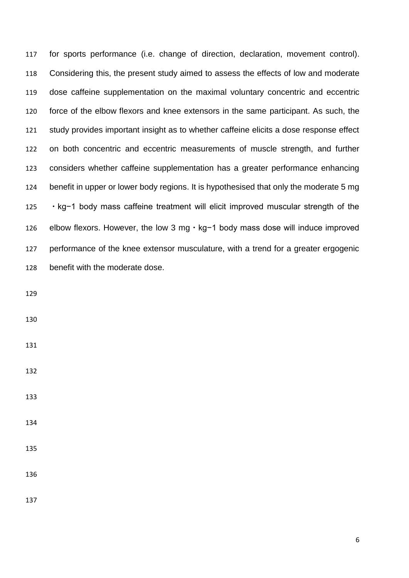for sports performance (i.e. change of direction, declaration, movement control). Considering this, the present study aimed to assess the effects of low and moderate dose caffeine supplementation on the maximal voluntary concentric and eccentric force of the elbow flexors and knee extensors in the same participant. As such, the study provides important insight as to whether caffeine elicits a dose response effect on both concentric and eccentric measurements of muscle strength, and further considers whether caffeine supplementation has a greater performance enhancing benefit in upper or lower body regions. It is hypothesised that only the moderate 5 mg ・kg−1 body mass caffeine treatment will elicit improved muscular strength of the elbow flexors. However, the low 3 mg・kg−1 body mass dose will induce improved performance of the knee extensor musculature, with a trend for a greater ergogenic benefit with the moderate dose.

- 
-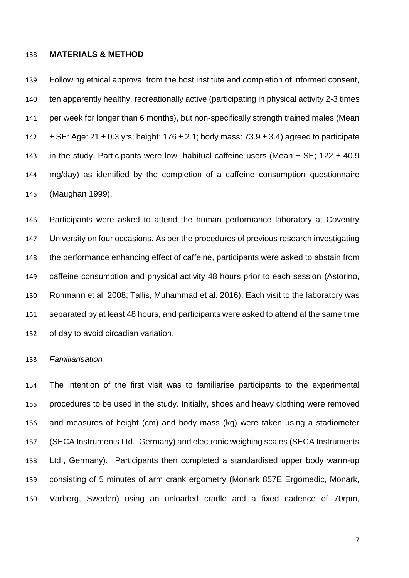#### **MATERIALS & METHOD**

 Following ethical approval from the host institute and completion of informed consent, ten apparently healthy, recreationally active (participating in physical activity 2-3 times per week for longer than 6 months), but non-specifically strength trained males (Mean  $\pm$  SE: Age: 21  $\pm$  0.3 yrs; height: 176  $\pm$  2.1; body mass: 73.9  $\pm$  3.4) agreed to participate 143 in the study. Participants were low habitual caffeine users (Mean  $\pm$  SE; 122  $\pm$  40.9 mg/day) as identified by the completion of a caffeine consumption questionnaire (Maughan 1999).

 Participants were asked to attend the human performance laboratory at Coventry University on four occasions. As per the procedures of previous research investigating the performance enhancing effect of caffeine, participants were asked to abstain from caffeine consumption and physical activity 48 hours prior to each session (Astorino, Rohmann et al. 2008; Tallis, Muhammad et al. 2016). Each visit to the laboratory was separated by at least 48 hours, and participants were asked to attend at the same time of day to avoid circadian variation.

## *Familiarisation*

 The intention of the first visit was to familiarise participants to the experimental procedures to be used in the study. Initially, shoes and heavy clothing were removed and measures of height (cm) and body mass (kg) were taken using a stadiometer (SECA Instruments Ltd., Germany) and electronic weighing scales (SECA Instruments Ltd., Germany). Participants then completed a standardised upper body warm-up consisting of 5 minutes of arm crank ergometry (Monark 857E Ergomedic, Monark, Varberg, Sweden) using an unloaded cradle and a fixed cadence of 70rpm,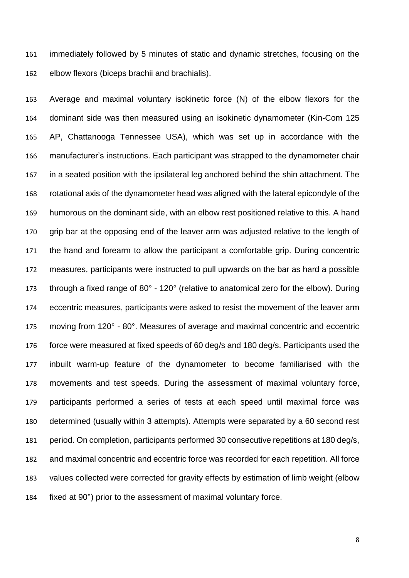immediately followed by 5 minutes of static and dynamic stretches, focusing on the elbow flexors (biceps brachii and brachialis).

 Average and maximal voluntary isokinetic force (N) of the elbow flexors for the dominant side was then measured using an isokinetic dynamometer (Kin-Com 125 AP, Chattanooga Tennessee USA), which was set up in accordance with the manufacturer's instructions. Each participant was strapped to the dynamometer chair in a seated position with the ipsilateral leg anchored behind the shin attachment. The rotational axis of the dynamometer head was aligned with the lateral epicondyle of the humorous on the dominant side, with an elbow rest positioned relative to this. A hand grip bar at the opposing end of the leaver arm was adjusted relative to the length of the hand and forearm to allow the participant a comfortable grip. During concentric measures, participants were instructed to pull upwards on the bar as hard a possible through a fixed range of 80° - 120° (relative to anatomical zero for the elbow). During eccentric measures, participants were asked to resist the movement of the leaver arm moving from 120° - 80°. Measures of average and maximal concentric and eccentric force were measured at fixed speeds of 60 deg/s and 180 deg/s. Participants used the inbuilt warm-up feature of the dynamometer to become familiarised with the movements and test speeds. During the assessment of maximal voluntary force, participants performed a series of tests at each speed until maximal force was determined (usually within 3 attempts). Attempts were separated by a 60 second rest period. On completion, participants performed 30 consecutive repetitions at 180 deg/s, and maximal concentric and eccentric force was recorded for each repetition. All force values collected were corrected for gravity effects by estimation of limb weight (elbow fixed at 90°) prior to the assessment of maximal voluntary force.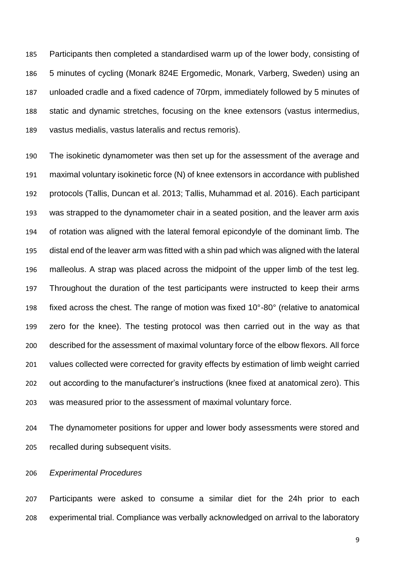Participants then completed a standardised warm up of the lower body, consisting of 5 minutes of cycling (Monark 824E Ergomedic, Monark, Varberg, Sweden) using an unloaded cradle and a fixed cadence of 70rpm, immediately followed by 5 minutes of static and dynamic stretches, focusing on the knee extensors (vastus intermedius, vastus medialis, vastus lateralis and rectus remoris).

 The isokinetic dynamometer was then set up for the assessment of the average and maximal voluntary isokinetic force (N) of knee extensors in accordance with published protocols (Tallis, Duncan et al. 2013; Tallis, Muhammad et al. 2016). Each participant was strapped to the dynamometer chair in a seated position, and the leaver arm axis of rotation was aligned with the lateral femoral epicondyle of the dominant limb. The distal end of the leaver arm was fitted with a shin pad which was aligned with the lateral malleolus. A strap was placed across the midpoint of the upper limb of the test leg. Throughout the duration of the test participants were instructed to keep their arms fixed across the chest. The range of motion was fixed 10°-80° (relative to anatomical zero for the knee). The testing protocol was then carried out in the way as that described for the assessment of maximal voluntary force of the elbow flexors. All force values collected were corrected for gravity effects by estimation of limb weight carried out according to the manufacturer's instructions (knee fixed at anatomical zero). This was measured prior to the assessment of maximal voluntary force.

 The dynamometer positions for upper and lower body assessments were stored and recalled during subsequent visits.

*Experimental Procedures*

 Participants were asked to consume a similar diet for the 24h prior to each experimental trial. Compliance was verbally acknowledged on arrival to the laboratory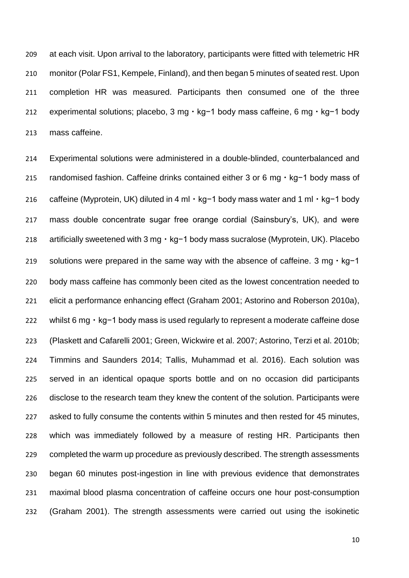at each visit. Upon arrival to the laboratory, participants were fitted with telemetric HR monitor (Polar FS1, Kempele, Finland), and then began 5 minutes of seated rest. Upon completion HR was measured. Participants then consumed one of the three experimental solutions; placebo, 3 mg・kg−1 body mass caffeine, 6 mg・kg−1 body mass caffeine.

 Experimental solutions were administered in a double-blinded, counterbalanced and randomised fashion. Caffeine drinks contained either 3 or 6 mg・kg−1 body mass of caffeine (Myprotein, UK) diluted in 4 ml・kg−1 body mass water and 1 ml・kg−1 body mass double concentrate sugar free orange cordial (Sainsbury's, UK), and were artificially sweetened with 3 mg・kg−1 body mass sucralose (Myprotein, UK). Placebo solutions were prepared in the same way with the absence of caffeine. 3 mg・kg−1 body mass caffeine has commonly been cited as the lowest concentration needed to elicit a performance enhancing effect (Graham 2001; Astorino and Roberson 2010a), whilst 6 mg・kg−1 body mass is used regularly to represent a moderate caffeine dose (Plaskett and Cafarelli 2001; Green, Wickwire et al. 2007; Astorino, Terzi et al. 2010b; Timmins and Saunders 2014; Tallis, Muhammad et al. 2016). Each solution was served in an identical opaque sports bottle and on no occasion did participants disclose to the research team they knew the content of the solution. Participants were asked to fully consume the contents within 5 minutes and then rested for 45 minutes, which was immediately followed by a measure of resting HR. Participants then completed the warm up procedure as previously described. The strength assessments began 60 minutes post-ingestion in line with previous evidence that demonstrates maximal blood plasma concentration of caffeine occurs one hour post-consumption (Graham 2001). The strength assessments were carried out using the isokinetic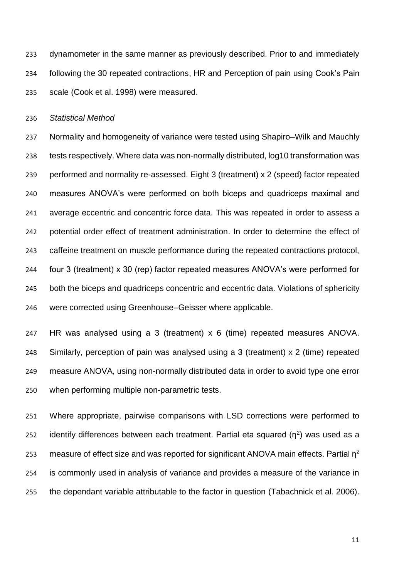dynamometer in the same manner as previously described. Prior to and immediately following the 30 repeated contractions, HR and Perception of pain using Cook's Pain scale (Cook et al. 1998) were measured.

#### *Statistical Method*

 Normality and homogeneity of variance were tested using Shapiro–Wilk and Mauchly tests respectively. Where data was non-normally distributed, log10 transformation was performed and normality re-assessed. Eight 3 (treatment) x 2 (speed) factor repeated measures ANOVA's were performed on both biceps and quadriceps maximal and average eccentric and concentric force data. This was repeated in order to assess a potential order effect of treatment administration. In order to determine the effect of caffeine treatment on muscle performance during the repeated contractions protocol, four 3 (treatment) x 30 (rep) factor repeated measures ANOVA's were performed for both the biceps and quadriceps concentric and eccentric data. Violations of sphericity were corrected using Greenhouse–Geisser where applicable.

 HR was analysed using a 3 (treatment) x 6 (time) repeated measures ANOVA. Similarly, perception of pain was analysed using a 3 (treatment) x 2 (time) repeated measure ANOVA, using non-normally distributed data in order to avoid type one error when performing multiple non-parametric tests.

 Where appropriate, pairwise comparisons with LSD corrections were performed to 252 identify differences between each treatment. Partial eta squared  $(n^2)$  was used as a 253 measure of effect size and was reported for significant ANOVA main effects. Partial  $\eta^2$  is commonly used in analysis of variance and provides a measure of the variance in the dependant variable attributable to the factor in question (Tabachnick et al. 2006).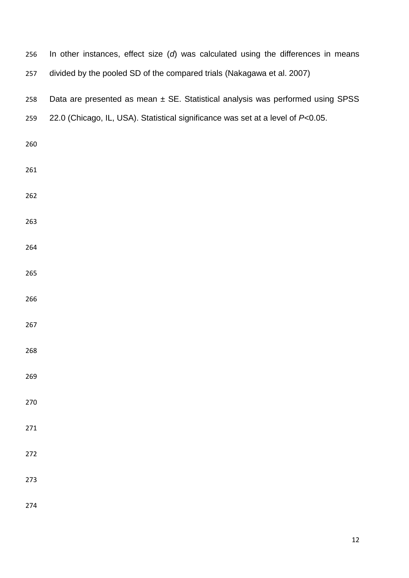| 256 | In other instances, effect size $(d)$ was calculated using the differences in means |
|-----|-------------------------------------------------------------------------------------|
| 257 | divided by the pooled SD of the compared trials (Nakagawa et al. 2007)              |
| 258 | Data are presented as mean $\pm$ SE. Statistical analysis was performed using SPSS  |
| 259 | 22.0 (Chicago, IL, USA). Statistical significance was set at a level of P<0.05.     |
| 260 |                                                                                     |
| 261 |                                                                                     |
| 262 |                                                                                     |
| 263 |                                                                                     |
| 264 |                                                                                     |
| 265 |                                                                                     |
| 266 |                                                                                     |
| 267 |                                                                                     |
| 268 |                                                                                     |
| 269 |                                                                                     |
| 270 |                                                                                     |
| 271 |                                                                                     |
| 272 |                                                                                     |
| 273 |                                                                                     |
| 274 |                                                                                     |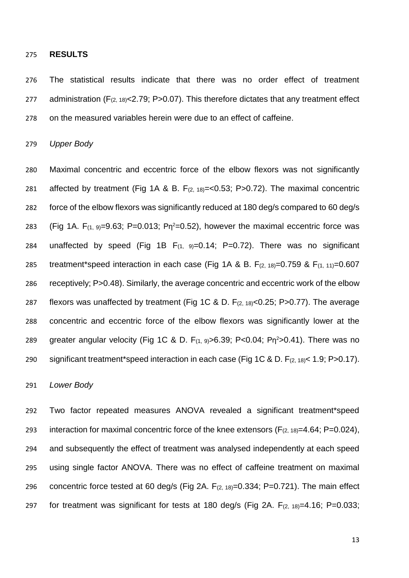#### 275 **RESULTS**

276 The statistical results indicate that there was no order effect of treatment 277 administration ( $F_{(2, 18)} < 2.79$ ; P $> 0.07$ ). This therefore dictates that any treatment effect 278 on the measured variables herein were due to an effect of caffeine.

279 *Upper Body*

280 Maximal concentric and eccentric force of the elbow flexors was not significantly 281 affected by treatment (Fig 1A & B.  $F_{(2, 18)} = 0.53$ ; P $> 0.72$ ). The maximal concentric 282 force of the elbow flexors was significantly reduced at 180 deg/s compared to 60 deg/s 283 (Fig 1A.  $F_{(1, 9)} = 9.63$ ; P=0.013; Pn<sup>2</sup>=0.52), however the maximal eccentric force was 284 unaffected by speed (Fig 1B  $F_{(1, 9)} = 0.14$ ; P=0.72). There was no significant 285 treatment\*speed interaction in each case (Fig 1A & B. F<sub>(2, 18)</sub>=0.759 & F<sub>(1, 11)</sub>=0.607 286 receptively; P>0.48). Similarly, the average concentric and eccentric work of the elbow 287 flexors was unaffected by treatment (Fig 1C & D.  $F_{(2, 18)}< 0.25$ ; P>0.77). The average 288 concentric and eccentric force of the elbow flexors was significantly lower at the 289 greater angular velocity (Fig 1C & D. F $(1, 9)$  > 6.39; P < 0.04; Pn<sup>2</sup> > 0.41). There was no 290 significant treatment\*speed interaction in each case (Fig 1C & D.  $F_{(2, 18)}$  < 1.9; P>0.17).

291 *Lower Body*

292 Two factor repeated measures ANOVA revealed a significant treatment\*speed 293 interaction for maximal concentric force of the knee extensors ( $F_{(2, 18)} = 4.64$ ; P=0.024), 294 and subsequently the effect of treatment was analysed independently at each speed 295 using single factor ANOVA. There was no effect of caffeine treatment on maximal 296 concentric force tested at 60 deg/s (Fig 2A.  $F_{(2, 18)} = 0.334$ ; P=0.721). The main effect 297 for treatment was significant for tests at 180 deg/s (Fig 2A.  $F_{(2, 18)} = 4.16$ ; P=0.033;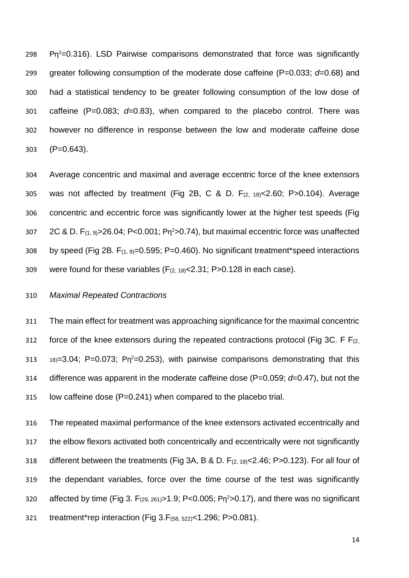$\text{Pr}^2$ =0.316). LSD Pairwise comparisons demonstrated that force was significantly greater following consumption of the moderate dose caffeine (P=0.033; *d*=0.68) and had a statistical tendency to be greater following consumption of the low dose of caffeine (P=0.083; *d*=0.83), when compared to the placebo control. There was however no difference in response between the low and moderate caffeine dose (P=0.643).

 Average concentric and maximal and average eccentric force of the knee extensors 305 was not affected by treatment (Fig 2B, C & D.  $F_{(2, 18)} < 2.60$ ; P $> 0.104$ ). Average concentric and eccentric force was significantly lower at the higher test speeds (Fig 307  $2C & D. F_{(1, 9)} > 26.04$ ; P<0.001; Pn<sup>2</sup>>0.74), but maximal eccentric force was unaffected 308 by speed (Fig 2B.  $F_{(1, 9)} = 0.595$ ; P=0.460). No significant treatment\*speed interactions 309 were found for these variables  $(F_{(2, 18)}<2.31; P>0.128$  in each case).

### *Maximal Repeated Contractions*

 The main effect for treatment was approaching significance for the maximal concentric 312 force of the knee extensors during the repeated contractions protocol (Fig 3C. F  $F_{(2)}$   $18$  = 3.04; P=0.073; Pn<sup>2</sup>=0.253), with pairwise comparisons demonstrating that this difference was apparent in the moderate caffeine dose (P=0.059; *d*=0.47), but not the low caffeine dose (P=0.241) when compared to the placebo trial.

 The repeated maximal performance of the knee extensors activated eccentrically and the elbow flexors activated both concentrically and eccentrically were not significantly different between the treatments (Fig 3A, B & D. F(2, 18)<2.46; P>0.123). For all four of the dependant variables, force over the time course of the test was significantly 320 affected by time (Fig 3.  $F_{(29, 261)} > 1.9$ ; P<0.005; Pn<sup>2</sup>>0.17), and there was no significant treatment\*rep interaction (Fig 3.F(58, 522)<1.296; P>0.081).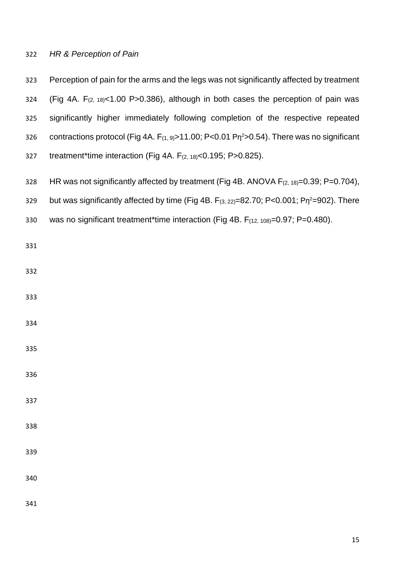## *HR & Perception of Pain*

 Perception of pain for the arms and the legs was not significantly affected by treatment 324 (Fig 4A.  $F_{(2, 18)}$  < 1.00 P > 0.386), although in both cases the perception of pain was significantly higher immediately following completion of the respective repeated 326 contractions protocol (Fig 4A.  $F_{(1, 9)} > 11.00$ ; P<0.01 Pn<sup>2</sup>>0.54). There was no significant treatment\*time interaction (Fig 4A. F(2, 18)<0.195; P>0.825). 328 HR was not significantly affected by treatment (Fig 4B. ANOVA  $F_{(2, 18)} = 0.39$ ; P=0.704), 329 but was significantly affected by time (Fig 4B.  $F_{(3, 22)} = 82.70$ ; P<0.001; Pn<sup>2</sup>=902). There was no significant treatment\*time interaction (Fig 4B. F(12, 108)=0.97; P=0.480).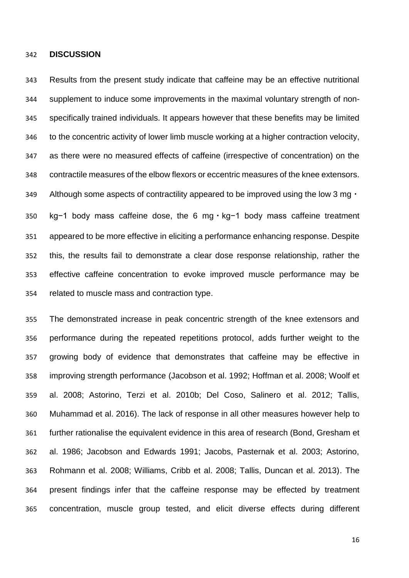#### **DISCUSSION**

 Results from the present study indicate that caffeine may be an effective nutritional supplement to induce some improvements in the maximal voluntary strength of non- specifically trained individuals. It appears however that these benefits may be limited to the concentric activity of lower limb muscle working at a higher contraction velocity, as there were no measured effects of caffeine (irrespective of concentration) on the contractile measures of the elbow flexors or eccentric measures of the knee extensors. 349 Although some aspects of contractility appeared to be improved using the low 3 mg  $\cdot$  kg−1 body mass caffeine dose, the 6 mg・kg−1 body mass caffeine treatment appeared to be more effective in eliciting a performance enhancing response. Despite this, the results fail to demonstrate a clear dose response relationship, rather the effective caffeine concentration to evoke improved muscle performance may be related to muscle mass and contraction type.

 The demonstrated increase in peak concentric strength of the knee extensors and performance during the repeated repetitions protocol, adds further weight to the growing body of evidence that demonstrates that caffeine may be effective in improving strength performance (Jacobson et al. 1992; Hoffman et al. 2008; Woolf et al. 2008; Astorino, Terzi et al. 2010b; Del Coso, Salinero et al. 2012; Tallis, Muhammad et al. 2016). The lack of response in all other measures however help to further rationalise the equivalent evidence in this area of research (Bond, Gresham et al. 1986; Jacobson and Edwards 1991; Jacobs, Pasternak et al. 2003; Astorino, Rohmann et al. 2008; Williams, Cribb et al. 2008; Tallis, Duncan et al. 2013). The present findings infer that the caffeine response may be effected by treatment concentration, muscle group tested, and elicit diverse effects during different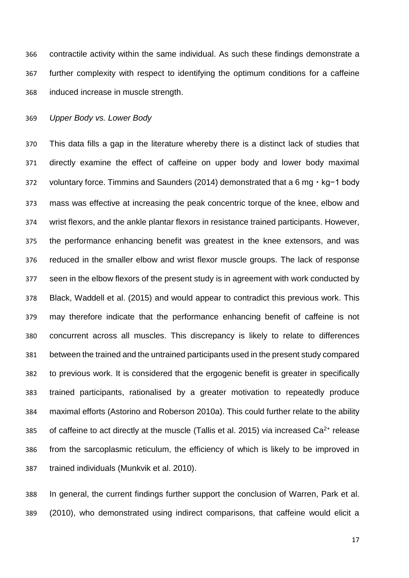contractile activity within the same individual. As such these findings demonstrate a further complexity with respect to identifying the optimum conditions for a caffeine induced increase in muscle strength.

*Upper Body vs. Lower Body*

 This data fills a gap in the literature whereby there is a distinct lack of studies that directly examine the effect of caffeine on upper body and lower body maximal voluntary force. Timmins and Saunders (2014) demonstrated that a 6 mg・kg−1 body mass was effective at increasing the peak concentric torque of the knee, elbow and wrist flexors, and the ankle plantar flexors in resistance trained participants. However, the performance enhancing benefit was greatest in the knee extensors, and was reduced in the smaller elbow and wrist flexor muscle groups. The lack of response seen in the elbow flexors of the present study is in agreement with work conducted by Black, Waddell et al. (2015) and would appear to contradict this previous work. This may therefore indicate that the performance enhancing benefit of caffeine is not concurrent across all muscles. This discrepancy is likely to relate to differences between the trained and the untrained participants used in the present study compared to previous work. It is considered that the ergogenic benefit is greater in specifically trained participants, rationalised by a greater motivation to repeatedly produce maximal efforts (Astorino and Roberson 2010a). This could further relate to the ability 385 of caffeine to act directly at the muscle (Tallis et al. 2015) via increased  $Ca<sup>2+</sup>$  release from the sarcoplasmic reticulum, the efficiency of which is likely to be improved in trained individuals (Munkvik et al. 2010).

 In general, the current findings further support the conclusion of Warren, Park et al. (2010), who demonstrated using indirect comparisons, that caffeine would elicit a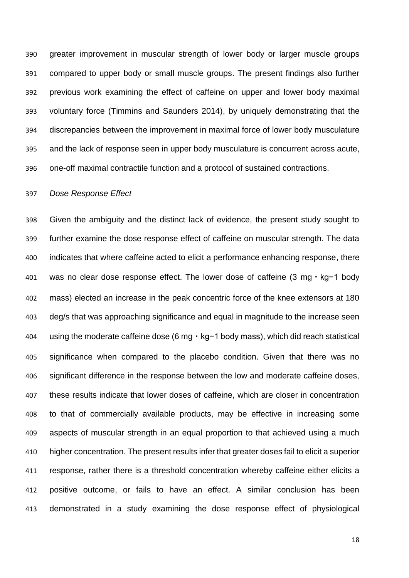greater improvement in muscular strength of lower body or larger muscle groups compared to upper body or small muscle groups. The present findings also further previous work examining the effect of caffeine on upper and lower body maximal voluntary force (Timmins and Saunders 2014), by uniquely demonstrating that the discrepancies between the improvement in maximal force of lower body musculature and the lack of response seen in upper body musculature is concurrent across acute, one-off maximal contractile function and a protocol of sustained contractions.

### *Dose Response Effect*

 Given the ambiguity and the distinct lack of evidence, the present study sought to further examine the dose response effect of caffeine on muscular strength. The data indicates that where caffeine acted to elicit a performance enhancing response, there was no clear dose response effect. The lower dose of caffeine (3 mg・kg−1 body mass) elected an increase in the peak concentric force of the knee extensors at 180 deg/s that was approaching significance and equal in magnitude to the increase seen using the moderate caffeine dose (6 mg・kg−1 body mass), which did reach statistical significance when compared to the placebo condition. Given that there was no significant difference in the response between the low and moderate caffeine doses, these results indicate that lower doses of caffeine, which are closer in concentration to that of commercially available products, may be effective in increasing some aspects of muscular strength in an equal proportion to that achieved using a much higher concentration. The present results infer that greater doses fail to elicit a superior response, rather there is a threshold concentration whereby caffeine either elicits a positive outcome, or fails to have an effect. A similar conclusion has been demonstrated in a study examining the dose response effect of physiological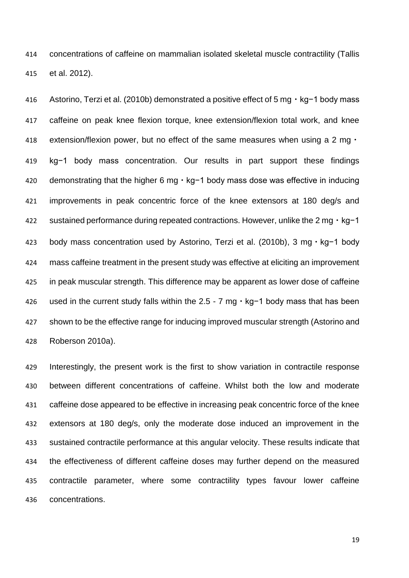concentrations of caffeine on mammalian isolated skeletal muscle contractility (Tallis et al. 2012).

 Astorino, Terzi et al. (2010b) demonstrated a positive effect of 5 mg・kg−1 body mass caffeine on peak knee flexion torque, knee extension/flexion total work, and knee 418 extension/flexion power, but no effect of the same measures when using a 2 mg $\cdot$  kg−1 body mass concentration. Our results in part support these findings demonstrating that the higher 6 mg・kg−1 body mass dose was effective in inducing improvements in peak concentric force of the knee extensors at 180 deg/s and sustained performance during repeated contractions. However, unlike the 2 mg・kg−1 body mass concentration used by Astorino, Terzi et al. (2010b), 3 mg・kg−1 body mass caffeine treatment in the present study was effective at eliciting an improvement in peak muscular strength. This difference may be apparent as lower dose of caffeine used in the current study falls within the 2.5 - 7 mg・kg−1 body mass that has been shown to be the effective range for inducing improved muscular strength (Astorino and Roberson 2010a).

 Interestingly, the present work is the first to show variation in contractile response between different concentrations of caffeine. Whilst both the low and moderate caffeine dose appeared to be effective in increasing peak concentric force of the knee extensors at 180 deg/s, only the moderate dose induced an improvement in the sustained contractile performance at this angular velocity. These results indicate that the effectiveness of different caffeine doses may further depend on the measured contractile parameter, where some contractility types favour lower caffeine concentrations.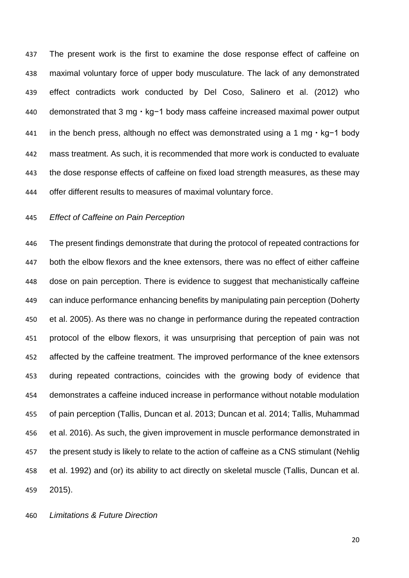The present work is the first to examine the dose response effect of caffeine on maximal voluntary force of upper body musculature. The lack of any demonstrated effect contradicts work conducted by Del Coso, Salinero et al. (2012) who demonstrated that 3 mg・kg−1 body mass caffeine increased maximal power output in the bench press, although no effect was demonstrated using a 1 mg・kg−1 body mass treatment. As such, it is recommended that more work is conducted to evaluate the dose response effects of caffeine on fixed load strength measures, as these may offer different results to measures of maximal voluntary force.

*Effect of Caffeine on Pain Perception*

 The present findings demonstrate that during the protocol of repeated contractions for both the elbow flexors and the knee extensors, there was no effect of either caffeine dose on pain perception. There is evidence to suggest that mechanistically caffeine can induce performance enhancing benefits by manipulating pain perception (Doherty et al. 2005). As there was no change in performance during the repeated contraction protocol of the elbow flexors, it was unsurprising that perception of pain was not affected by the caffeine treatment. The improved performance of the knee extensors during repeated contractions, coincides with the growing body of evidence that demonstrates a caffeine induced increase in performance without notable modulation of pain perception (Tallis, Duncan et al. 2013; Duncan et al. 2014; Tallis, Muhammad et al. 2016). As such, the given improvement in muscle performance demonstrated in 457 the present study is likely to relate to the action of caffeine as a CNS stimulant (Nehlig et al. 1992) and (or) its ability to act directly on skeletal muscle (Tallis, Duncan et al. 2015).

*Limitations & Future Direction*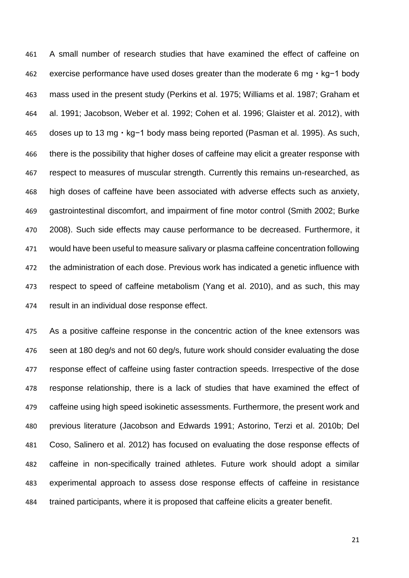A small number of research studies that have examined the effect of caffeine on exercise performance have used doses greater than the moderate 6 mg・kg−1 body mass used in the present study (Perkins et al. 1975; Williams et al. 1987; Graham et al. 1991; Jacobson, Weber et al. 1992; Cohen et al. 1996; Glaister et al. 2012), with doses up to 13 mg・kg−1 body mass being reported (Pasman et al. 1995). As such, there is the possibility that higher doses of caffeine may elicit a greater response with respect to measures of muscular strength. Currently this remains un-researched, as high doses of caffeine have been associated with adverse effects such as anxiety, gastrointestinal discomfort, and impairment of fine motor control (Smith 2002; Burke 2008). Such side effects may cause performance to be decreased. Furthermore, it would have been useful to measure salivary or plasma caffeine concentration following the administration of each dose. Previous work has indicated a genetic influence with respect to speed of caffeine metabolism (Yang et al. 2010), and as such, this may result in an individual dose response effect.

 As a positive caffeine response in the concentric action of the knee extensors was seen at 180 deg/s and not 60 deg/s, future work should consider evaluating the dose response effect of caffeine using faster contraction speeds. Irrespective of the dose response relationship, there is a lack of studies that have examined the effect of caffeine using high speed isokinetic assessments. Furthermore, the present work and previous literature (Jacobson and Edwards 1991; Astorino, Terzi et al. 2010b; Del Coso, Salinero et al. 2012) has focused on evaluating the dose response effects of caffeine in non-specifically trained athletes. Future work should adopt a similar experimental approach to assess dose response effects of caffeine in resistance trained participants, where it is proposed that caffeine elicits a greater benefit.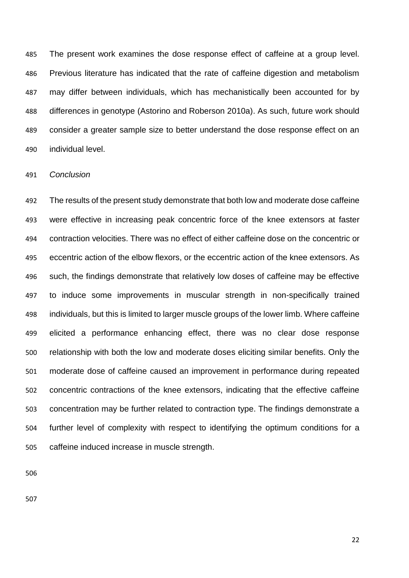The present work examines the dose response effect of caffeine at a group level. Previous literature has indicated that the rate of caffeine digestion and metabolism may differ between individuals, which has mechanistically been accounted for by differences in genotype (Astorino and Roberson 2010a). As such, future work should consider a greater sample size to better understand the dose response effect on an individual level.

#### *Conclusion*

 The results of the present study demonstrate that both low and moderate dose caffeine were effective in increasing peak concentric force of the knee extensors at faster contraction velocities. There was no effect of either caffeine dose on the concentric or eccentric action of the elbow flexors, or the eccentric action of the knee extensors. As such, the findings demonstrate that relatively low doses of caffeine may be effective to induce some improvements in muscular strength in non-specifically trained individuals, but this is limited to larger muscle groups of the lower limb. Where caffeine elicited a performance enhancing effect, there was no clear dose response relationship with both the low and moderate doses eliciting similar benefits. Only the moderate dose of caffeine caused an improvement in performance during repeated concentric contractions of the knee extensors, indicating that the effective caffeine concentration may be further related to contraction type. The findings demonstrate a further level of complexity with respect to identifying the optimum conditions for a caffeine induced increase in muscle strength.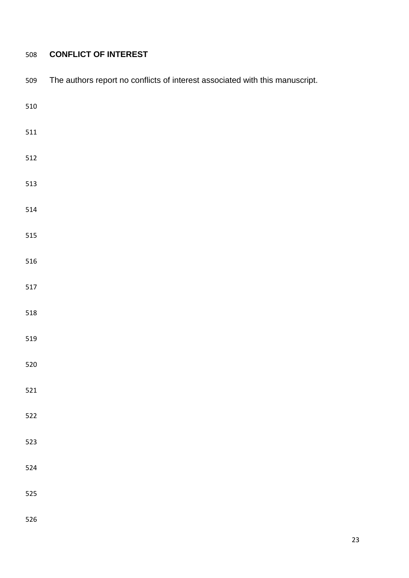# **CONFLICT OF INTEREST**

| 509         | The authors report no conflicts of interest associated with this manuscript. |
|-------------|------------------------------------------------------------------------------|
| $510\,$     |                                                                              |
| ${\bf 511}$ |                                                                              |
| 512         |                                                                              |
| 513         |                                                                              |
| 514         |                                                                              |
| 515         |                                                                              |
| 516         |                                                                              |
| 517         |                                                                              |
| 518         |                                                                              |
| 519         |                                                                              |
| 520         |                                                                              |
| 521         |                                                                              |
| 522         |                                                                              |
| 523         |                                                                              |
| 524         |                                                                              |
| 525         |                                                                              |
| 526         |                                                                              |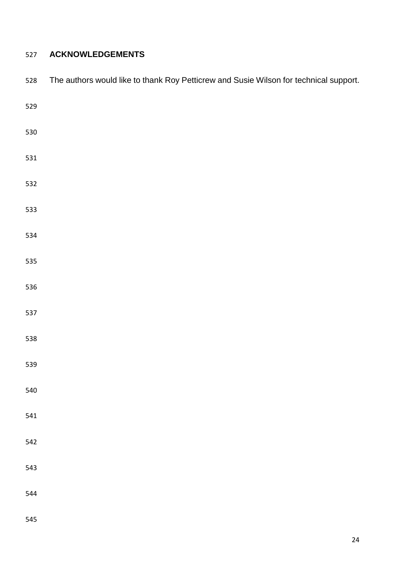# **ACKNOWLEDGEMENTS**

| 528 | The authors would like to thank Roy Petticrew and Susie Wilson for technical support. |
|-----|---------------------------------------------------------------------------------------|
| 529 |                                                                                       |
| 530 |                                                                                       |
| 531 |                                                                                       |
| 532 |                                                                                       |
| 533 |                                                                                       |
| 534 |                                                                                       |
| 535 |                                                                                       |
| 536 |                                                                                       |
| 537 |                                                                                       |
| 538 |                                                                                       |
| 539 |                                                                                       |
| 540 |                                                                                       |
| 541 |                                                                                       |
| 542 |                                                                                       |
| 543 |                                                                                       |
| 544 |                                                                                       |
| 545 |                                                                                       |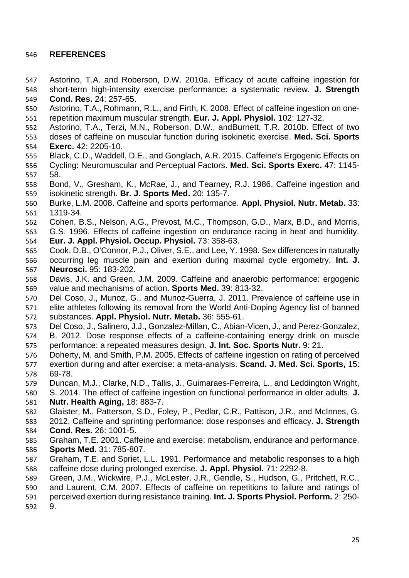# **REFERENCES**

 Astorino, T.A. and Roberson, D.W. 2010a. Efficacy of acute caffeine ingestion for short-term high-intensity exercise performance: a systematic review. **J. Strength** 

**Cond. Res.** 24: 257-65.

- Astorino, T.A., Rohmann, R.L., and Firth, K. 2008. Effect of caffeine ingestion on one-repetition maximum muscular strength. **Eur. J. Appl. Physiol.** 102: 127-32.
- Astorino, T.A., Terzi, M.N., Roberson, D.W., andBurnett, T.R. 2010b. Effect of two doses of caffeine on muscular function during isokinetic exercise. **Med. Sci. Sports Exerc.** 42: 2205-10.
- Black, C.D., Waddell, D.E., and Gonglach, A.R. 2015. Caffeine's Ergogenic Effects on
- Cycling: Neuromuscular and Perceptual Factors. **Med. Sci. Sports Exerc.** 47: 1145- 58.
- Bond, V., Gresham, K., McRae, J., and Tearney, R.J. 1986. Caffeine ingestion and isokinetic strength. **Br. J. Sports Med.** 20: 135-7.
- Burke, L.M. 2008. Caffeine and sports performance. **Appl. Physiol. Nutr. Metab.** 33: 1319-34.
- Cohen, B.S., Nelson, A.G., Prevost, M.C., Thompson, G.D., Marx, B.D., and Morris, G.S. 1996. Effects of caffeine ingestion on endurance racing in heat and humidity.
- **Eur. J. Appl. Physiol. Occup. Physiol.** 73: 358-63.
- Cook, D.B., O'Connor, P.J., Oliver, S.E., and Lee, Y. 1998. Sex differences in naturally occurring leg muscle pain and exertion during maximal cycle ergometry. **Int. J. Neurosci.** 95: 183-202.
- Davis, J.K. and Green, J.M. 2009. Caffeine and anaerobic performance: ergogenic value and mechanisms of action. **Sports Med.** 39: 813-32.
- Del Coso, J., Munoz, G., and Munoz-Guerra, J. 2011. Prevalence of caffeine use in
- elite athletes following its removal from the World Anti-Doping Agency list of banned substances. **Appl. Physiol. Nutr. Metab.** 36: 555-61.
- Del Coso, J., Salinero, J.J., Gonzalez-Millan, C., Abian-Vicen, J., and Perez-Gonzalez, B. 2012. Dose response effects of a caffeine-containing energy drink on muscle performance: a repeated measures design. **J. Int. Soc. Sports Nutr.** 9: 21.
- Doherty, M. and Smith, P.M. 2005. Effects of caffeine ingestion on rating of perceived exertion during and after exercise: a meta-analysis. **Scand. J. Med. Sci. Sports,** 15: 69-78.
- Duncan, M.J., Clarke, N.D., Tallis, J., Guimaraes-Ferreira, L., and Leddington Wright,
- S. 2014. The effect of caffeine ingestion on functional performance in older adults. **J. Nutr. Health Aging,** 18: 883-7.
- Glaister, M., Patterson, S.D., Foley, P., Pedlar, C.R., Pattison, J.R., and McInnes, G.
- 2012. Caffeine and sprinting performance: dose responses and efficacy. **J. Strength Cond. Res.** 26: 1001-5.
- Graham, T.E. 2001. Caffeine and exercise: metabolism, endurance and performance. **Sports Med.** 31: 785-807.
- Graham, T.E. and Spriet, L.L. 1991. Performance and metabolic responses to a high caffeine dose during prolonged exercise. **J. Appl. Physiol.** 71: 2292-8.
- Green, J.M., Wickwire, P.J., McLester, J.R., Gendle, S., Hudson, G., Pritchett, R.C.,
- and Laurent, C.M. 2007. Effects of caffeine on repetitions to failure and ratings of
- perceived exertion during resistance training. **Int. J. Sports Physiol. Perform.** 2: 250-
- 9.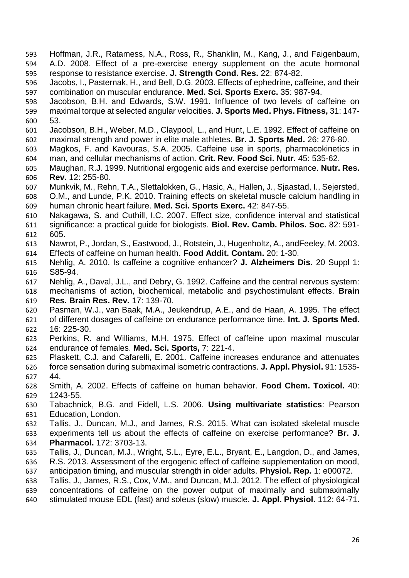- Hoffman, J.R., Ratamess, N.A., Ross, R., Shanklin, M., Kang, J., and Faigenbaum, A.D. 2008. Effect of a pre-exercise energy supplement on the acute hormonal response to resistance exercise. **J. Strength Cond. Res.** 22: 874-82.
- Jacobs, I., Pasternak, H., and Bell, D.G. 2003. Effects of ephedrine, caffeine, and their combination on muscular endurance. **Med. Sci. Sports Exerc.** 35: 987-94.
- Jacobson, B.H. and Edwards, S.W. 1991. Influence of two levels of caffeine on maximal torque at selected angular velocities. **J. Sports Med. Phys. Fitness,** 31: 147- 53.
- Jacobson, B.H., Weber, M.D., Claypool, L., and Hunt, L.E. 1992. Effect of caffeine on maximal strength and power in elite male athletes. **Br. J. Sports Med.** 26: 276-80.
- Magkos, F. and Kavouras, S.A. 2005. Caffeine use in sports, pharmacokinetics in man, and cellular mechanisms of action. **Crit. Rev. Food Sci. Nutr.** 45: 535-62.
- Maughan, R.J. 1999. Nutritional ergogenic aids and exercise performance. **Nutr. Res. Rev.** 12: 255-80.
- Munkvik, M., Rehn, T.A., Slettalokken, G., Hasic, A., Hallen, J., Sjaastad, I., Sejersted, O.M., and Lunde, P.K. 2010. Training effects on skeletal muscle calcium handling in human chronic heart failure. **Med. Sci. Sports Exerc.** 42: 847-55.
- Nakagawa, S. and Cuthill, I.C. 2007. Effect size, confidence interval and statistical
- significance: a practical guide for biologists. **Biol. Rev. Camb. Philos. Soc.** 82: 591- 605.
- Nawrot, P., Jordan, S., Eastwood, J., Rotstein, J., Hugenholtz, A., andFeeley, M. 2003. Effects of caffeine on human health. **Food Addit. Contam.** 20: 1-30.
- Nehlig, A. 2010. Is caffeine a cognitive enhancer? **J. Alzheimers Dis.** 20 Suppl 1: S85-94.
- Nehlig, A., Daval, J.L., and Debry, G. 1992. Caffeine and the central nervous system:
- mechanisms of action, biochemical, metabolic and psychostimulant effects. **Brain Res. Brain Res. Rev.** 17: 139-70.
- Pasman, W.J., van Baak, M.A., Jeukendrup, A.E., and de Haan, A. 1995. The effect of different dosages of caffeine on endurance performance time. **Int. J. Sports Med.** 16: 225-30.
- Perkins, R. and Williams, M.H. 1975. Effect of caffeine upon maximal muscular endurance of females. **Med. Sci. Sports,** 7: 221-4.
- Plaskett, C.J. and Cafarelli, E. 2001. Caffeine increases endurance and attenuates force sensation during submaximal isometric contractions. **J. Appl. Physiol.** 91: 1535- 44.
- Smith, A. 2002. Effects of caffeine on human behavior. **Food Chem. Toxicol.** 40: 1243-55.
- Tabachnick, B.G. and Fidell, L.S. 2006. **Using multivariate statistics**: Pearson Education, London.
- Tallis, J., Duncan, M.J., and James, R.S. 2015. What can isolated skeletal muscle experiments tell us about the effects of caffeine on exercise performance? **Br. J.**
- **Pharmacol.** 172: 3703-13.
- Tallis, J., Duncan, M.J., Wright, S.L., Eyre, E.L., Bryant, E., Langdon, D., and James, R.S. 2013. Assessment of the ergogenic effect of caffeine supplementation on mood,
- anticipation timing, and muscular strength in older adults. **Physiol. Rep.** 1: e00072.
- Tallis, J., James, R.S., Cox, V.M., and Duncan, M.J. 2012. The effect of physiological
- concentrations of caffeine on the power output of maximally and submaximally
- stimulated mouse EDL (fast) and soleus (slow) muscle. **J. Appl. Physiol.** 112: 64-71.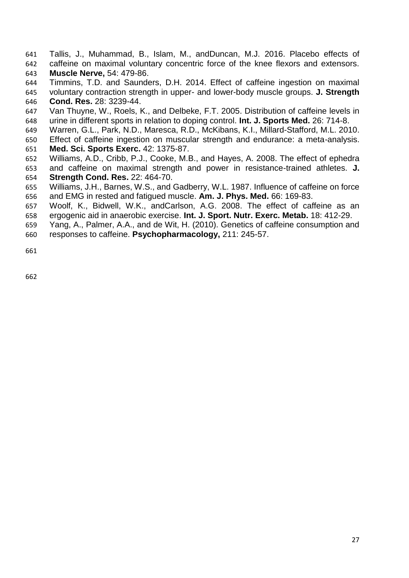- Tallis, J., Muhammad, B., Islam, M., andDuncan, M.J. 2016. Placebo effects of caffeine on maximal voluntary concentric force of the knee flexors and extensors. **Muscle Nerve,** 54: 479-86.
- Timmins, T.D. and Saunders, D.H. 2014. Effect of caffeine ingestion on maximal voluntary contraction strength in upper- and lower-body muscle groups. **J. Strength Cond. Res.** 28: 3239-44.
- Van Thuyne, W., Roels, K., and Delbeke, F.T. 2005. Distribution of caffeine levels in urine in different sports in relation to doping control. **Int. J. Sports Med.** 26: 714-8.
- Warren, G.L., Park, N.D., Maresca, R.D., McKibans, K.I., Millard-Stafford, M.L. 2010. Effect of caffeine ingestion on muscular strength and endurance: a meta-analysis.
- **Med. Sci. Sports Exerc.** 42: 1375-87.
- Williams, A.D., Cribb, P.J., Cooke, M.B., and Hayes, A. 2008. The effect of ephedra and caffeine on maximal strength and power in resistance-trained athletes. **J. Strength Cond. Res.** 22: 464-70.
- Williams, J.H., Barnes, W.S., and Gadberry, W.L. 1987. Influence of caffeine on force and EMG in rested and fatigued muscle. **Am. J. Phys. Med.** 66: 169-83.
- Woolf, K., Bidwell, W.K., andCarlson, A.G. 2008. The effect of caffeine as an
- ergogenic aid in anaerobic exercise. **Int. J. Sport. Nutr. Exerc. Metab.** 18: 412-29.
- Yang, A., Palmer, A.A., and de Wit, H. (2010). Genetics of caffeine consumption and responses to caffeine. **Psychopharmacology,** 211: 245-57.